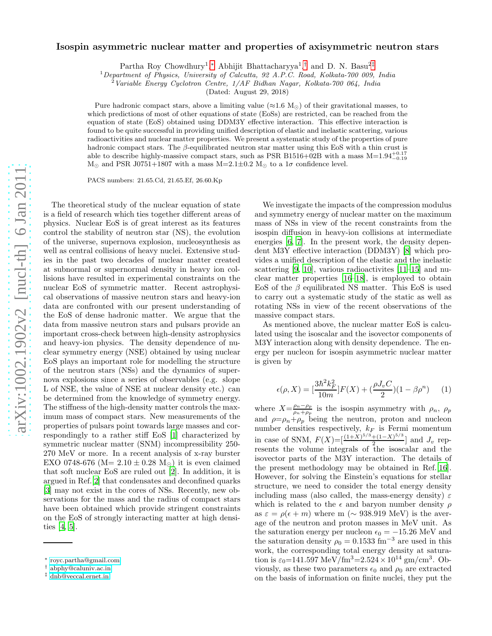## Isospin asymmetric nuclear matter and properties of axisymmetric neutron stars

Partha Roy Chowdhury<sup>1</sup>,\* Abhijit Bhattacharyya<sup>1</sup>,<sup>[†](#page-0-1)</sup> and D. N. Basu<sup>2[‡](#page-0-2)</sup>

<sup>1</sup>Department of Physics, University of Calcutta, 92 A.P.C. Road, Kolkata-700 009, India <sup>2</sup>Variable Energy Cyclotron Centre,  $1/AF$  Bidhan Nagar, Kolkata-700 064, India

(Dated: August 29, 2018)

Pure hadronic compact stars, above a limiting value  $(\approx 1.6 \text{ M}_{\odot})$  of their gravitational masses, to which predictions of most of other equations of state (EoSs) are restricted, can be reached from the equation of state (EoS) obtained using DDM3Y effective interaction. This effective interaction is found to be quite successful in providing unified description of elastic and inelastic scattering, various radioactivities and nuclear matter properties. We present a systematic study of the properties of pure hadronic compact stars. The  $\beta$ -equilibrated neutron star matter using this EoS with a thin crust is able to describe highly-massive compact stars, such as PSR B1516+02B with a mass  $M=1.94^{+0.17}_{-0.19}$  $M_{\odot}$  and PSR J0751+1807 with a mass  $M=2.1\pm0.2$   $M_{\odot}$  to a  $1\sigma$  confidence level.

PACS numbers: 21.65.Cd, 21.65.Ef, 26.60.Kp

The theoretical study of the nuclear equation of state is a field of research which ties together different areas of physics. Nuclear EoS is of great interest as its features control the stability of neutron star (NS), the evolution of the universe, supernova explosion, nucleosynthesis as well as central collisions of heavy nuclei. Extensive studies in the past two decades of nuclear matter created at subnormal or supernormal density in heavy ion collisions have resulted in experimental constraints on the nuclear EoS of symmetric matter. Recent astrophysical observations of massive neutron stars and heavy-ion data are confronted with our present understanding of the EoS of dense hadronic matter. We argue that the data from massive neutron stars and pulsars provide an important cross-check between high-density astrophysics and heavy-ion physics. The density dependence of nuclear symmetry energy (NSE) obtained by using nuclear EoS plays an important role for modelling the structure of the neutron stars (NSs) and the dynamics of supernova explosions since a series of observables (e.g. slope L of NSE, the value of NSE at nuclear density etc.) can be determined from the knowledge of symmetry energy. The stiffness of the high-density matter controls the maximum mass of compact stars. New measurements of the properties of pulsars point towards large masses and correspondingly to a rather stiff EoS [\[1](#page-3-0)] characterized by symmetric nuclear matter (SNM) incompressibility 250- 270 MeV or more. In a recent analysis of x-ray burster EXO 0748-676 (M=  $2.10 \pm 0.28$  M<sub>o</sub>) it is even claimed that soft nuclear EoS are ruled out [\[2\]](#page-3-1). In addition, it is argued in Ref.[\[2](#page-3-1)] that condensates and deconfined quarks [\[3\]](#page-3-2) may not exist in the cores of NSs. Recently, new observations for the mass and the radius of compact stars have been obtained which provide stringent constraints on the EoS of strongly interacting matter at high densities [\[4](#page-3-3), [5](#page-3-4)].

We investigate the impacts of the compression modulus and symmetry energy of nuclear matter on the maximum mass of NSs in view of the recent constraints from the isospin diffusion in heavy-ion collisions at intermediate energies [\[6](#page-3-5), [7\]](#page-3-6). In the present work, the density dependent M3Y effective interaction (DDM3Y) [\[8\]](#page-3-7) which provides a unified description of the elastic and the inelastic scattering [\[9](#page-3-8), [10\]](#page-3-9), various radioactivites [\[11](#page-3-10)[–15\]](#page-3-11) and nuclear matter properties [\[16](#page-3-12)[–18\]](#page-3-13), is employed to obtain EoS of the  $\beta$  equilibrated NS matter. This EoS is used to carry out a systematic study of the static as well as rotating NSs in view of the recent observations of the massive compact stars.

As mentioned above, the nuclear matter EoS is calculated using the isoscalar and the isovector components of M3Y interaction along with density dependence. The energy per nucleon for isospin asymmetric nuclear matter is given by

$$
\epsilon(\rho, X) = \left[\frac{3\hbar^2 k_F^2}{10m}\right] F(X) + \left(\frac{\rho J_v C}{2}\right) (1 - \beta \rho^n) \tag{1}
$$

where  $X=\frac{\rho_n-\rho_p}{\rho_n+\rho_p}$  is the isospin asymmetry with  $\rho_n$ ,  $\rho_p$ and  $\rho = \rho_n + \rho_p$  being the neutron, proton and nucleon number densities respectively,  $k_F$  is Fermi momentum in case of SNM,  $F(X) = \left[\frac{(1+X)^{5/3}+(1-X)^{5/3}}{2}\right]$  $\frac{+(1-\lambda)^{v}}{2}$  and  $J_v$  represents the volume integrals of the isoscalar and the isovector parts of the M3Y interaction. The details of the present methodology may be obtained in Ref.[\[16\]](#page-3-12). However, for solving the Einstein's equations for stellar structure, we need to consider the total energy density including mass (also called, the mass-energy density)  $\varepsilon$ which is related to the  $\epsilon$  and baryon number density  $\rho$ as  $\varepsilon = \rho(\epsilon + m)$  where m (~ 938.919 MeV) is the average of the neutron and proton masses in MeV unit. As the saturation energy per nucleon  $\epsilon_0 = -15.26$  MeV and the saturation density  $\rho_0 = 0.1533$  fm<sup>-3</sup> are used in this work, the corresponding total energy density at saturation is  $\varepsilon_0 = 141.597 \text{ MeV}/\text{fm}^3 = 2.524 \times 10^{14} \text{ gm}/\text{cm}^3$ . Obviously, as these two parameters  $\epsilon_0$  and  $\rho_0$  are extracted on the basis of information on finite nuclei, they put the

<span id="page-0-0"></span><sup>∗</sup> [royc.partha@gmail.com](mailto:royc.partha@gmail.com)

<span id="page-0-1"></span><sup>†</sup> [abphy@caluniv.ac.in](mailto:abphy@caluniv.ac.in)

<span id="page-0-2"></span><sup>‡</sup> [dnb@veccal.ernet.in](mailto:dnb@veccal.ernet.in)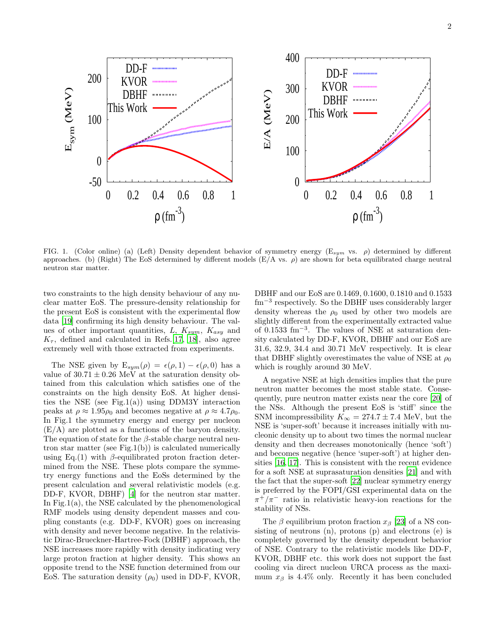

FIG. 1. (Color online) (a) (Left) Density dependent behavior of symmetry energy ( $E_{sym}$  vs.  $\rho$ ) determined by different approaches. (b) (Right) The EoS determined by different models  $(E/A \text{ vs. } \rho)$  are shown for beta equilibrated charge neutral neutron star matter.

two constraints to the high density behaviour of any nuclear matter EoS. The pressure-density relationship for the present EoS is consistent with the experimental flow data [\[19](#page-3-14)] confirming its high density behaviour. The values of other important quantities,  $L, K_{sym}, K_{asy}$  and  $K_{\tau}$ , defined and calculated in Refs.[\[17](#page-3-15), [18\]](#page-3-13), also agree extremely well with those extracted from experiments.

The NSE given by  $E_{sym}(\rho) = \epsilon(\rho, 1) - \epsilon(\rho, 0)$  has a value of  $30.71 \pm 0.26$  MeV at the saturation density obtained from this calculation which satisfies one of the constraints on the high density EoS. At higher densities the NSE (see Fig.1(a)) using DDM3Y interaction peaks at  $\rho \approx 1.95\rho_0$  and becomes negative at  $\rho \approx 4.7\rho_0$ . In Fig.1 the symmetry energy and energy per nucleon  $(E/A)$  are plotted as a functions of the baryon density. The equation of state for the  $\beta$ -stable charge neutral neutron star matter (see Fig.1(b)) is calculated numerically using Eq.(1) with  $\beta$ -equilibrated proton fraction determined from the NSE. These plots compare the symmetry energy functions and the EoSs determined by the present calculation and several relativistic models (e.g. DD-F, KVOR, DBHF) [\[4](#page-3-3)] for the neutron star matter. In Fig.1(a), the NSE calculated by the phenomenological RMF models using density dependent masses and coupling constants (e.g. DD-F, KVOR) goes on increasing with density and never become negative. In the relativistic Dirac-Brueckner-Hartree-Fock (DBHF) approach, the NSE increases more rapidly with density indicating very large proton fraction at higher density. This shows an opposite trend to the NSE function determined from our EoS. The saturation density  $(\rho_0)$  used in DD-F, KVOR,

DBHF and our EoS are 0.1469, 0.1600, 0.1810 and 0.1533 fm<sup>−</sup><sup>3</sup> respectively. So the DBHF uses considerably larger density whereas the  $\rho_0$  used by other two models are slightly different from the experimentally extracted value of 0.1533 fm<sup>−</sup><sup>3</sup> . The values of NSE at saturation density calculated by DD-F, KVOR, DBHF and our EoS are 31.6, 32.9, 34.4 and 30.71 MeV respectively. It is clear that DBHF slightly overestimates the value of NSE at  $\rho_0$ which is roughly around 30 MeV.

A negative NSE at high densities implies that the pure neutron matter becomes the most stable state. Consequently, pure neutron matter exists near the core [\[20\]](#page-3-16) of the NSs. Although the present EoS is 'stiff' since the SNM incompressibility  $K_{\infty} = 274.7 \pm 7.4$  MeV, but the NSE is 'super-soft' because it increases initially with nucleonic density up to about two times the normal nuclear density and then decreases monotonically (hence 'soft') and becomes negative (hence 'super-soft') at higher densities [\[16](#page-3-12), [17\]](#page-3-15). This is consistent with the recent evidence for a soft NSE at suprasaturation densities [\[21\]](#page-3-17) and with the fact that the super-soft [\[22](#page-3-18)] nuclear symmetry energy is preferred by the FOPI/GSI experimental data on the  $\pi^{+}/\pi^{-}$  ratio in relativistic heavy-ion reactions for the stability of NSs.

The  $\beta$  equilibrium proton fraction  $x_{\beta}$  [\[23\]](#page-3-19) of a NS consisting of neutrons (n), protons (p) and electrons (e) is completely governed by the density dependent behavior of NSE. Contrary to the relativistic models like DD-F, KVOR, DBHF etc. this work does not support the fast cooling via direct nucleon URCA process as the maximum  $x_\beta$  is 4.4% only. Recently it has been concluded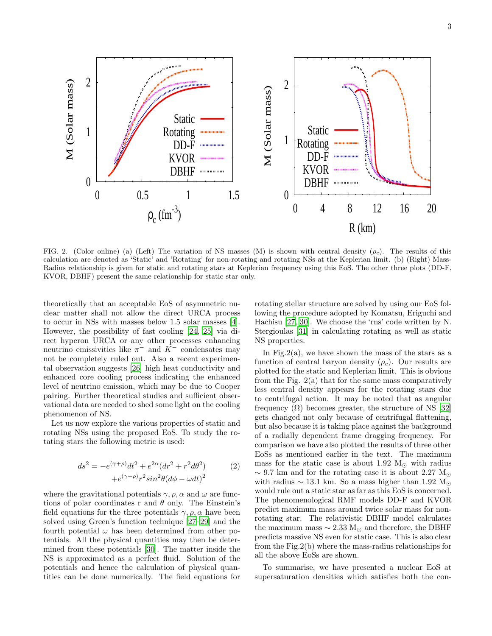

FIG. 2. (Color online) (a) (Left) The variation of NS masses (M) is shown with central density  $(\rho_c)$ . The results of this calculation are denoted as 'Static' and 'Rotating' for non-rotating and rotating NSs at the Keplerian limit. (b) (Right) Mass-Radius relationship is given for static and rotating stars at Keplerian frequency using this EoS. The other three plots (DD-F, KVOR, DBHF) present the same relationship for static star only.

theoretically that an acceptable EoS of asymmetric nuclear matter shall not allow the direct URCA process to occur in NSs with masses below 1.5 solar masses [\[4\]](#page-3-3). However, the possibility of fast cooling [\[24,](#page-3-20) [25\]](#page-3-21) via direct hyperon URCA or any other processes enhancing neutrino emissivities like  $\pi^-$  and  $K^-$  condensates may not be completely ruled out. Also a recent experimental observation suggests [\[26](#page-3-22)] high heat conductivity and enhanced core cooling process indicating the enhanced level of neutrino emission, which may be due to Cooper pairing. Further theoretical studies and sufficient observational data are needed to shed some light on the cooling phenomenon of NS.

Let us now explore the various properties of static and rotating NSs using the proposed EoS. To study the rotating stars the following metric is used:

$$
ds2 = -e(\gamma+\rho)dt2 + e2\alpha(dr2 + r2d\theta2)
$$
  
+e<sup>(\gamma-\rho)</sup>r<sup>2</sup>sin<sup>2</sup>\theta(d\phi - \omega dt)<sup>2</sup> (2)

where the gravitational potentials  $\gamma$ ,  $\rho$ ,  $\alpha$  and  $\omega$  are functions of polar coordinates r and  $\theta$  only. The Einstein's field equations for the three potentials  $\gamma$ ,  $\rho$ ,  $\alpha$  have been solved using Green's function technique [\[27](#page-3-23)[–29](#page-3-24)] and the fourth potential  $\omega$  has been determined from other potentials. All the physical quantities may then be determined from these potentials [\[30\]](#page-3-25). The matter inside the NS is approximated as a perfect fluid. Solution of the potentials and hence the calculation of physical quantities can be done numerically. The field equations for

rotating stellar structure are solved by using our EoS following the procedure adopted by Komatsu, Eriguchi and Hachisu [\[27](#page-3-23), [30](#page-3-25)]. We choose the 'rns' code written by N. Stergioulas [\[31\]](#page-3-26) in calculating rotating as well as static NS properties.

In Fig.  $2(a)$ , we have shown the mass of the stars as a function of central baryon density  $(\rho_c)$ . Our results are plotted for the static and Keplerian limit. This is obvious from the Fig.  $2(a)$  that for the same mass comparatively less central density appears for the rotating stars due to centrifugal action. It may be noted that as angular frequency  $(\Omega)$  becomes greater, the structure of NS [\[32](#page-3-27)] gets changed not only because of centrifugal flattening, but also because it is taking place against the background of a radially dependent frame dragging frequency. For comparison we have also plotted the results of three other EoSs as mentioned earlier in the text. The maximum mass for the static case is about 1.92  $M_{\odot}$  with radius  $\sim$  9.7 km and for the rotating case it is about 2.27  ${\rm M}_\odot$ with radius  $\sim$  13.1 km. So a mass higher than 1.92 M<sub>☉</sub> would rule out a static star as far as this EoS is concerned. The phenomenological RMF models DD-F and KVOR predict maximum mass around twice solar mass for nonrotating star. The relativistic DBHF model calculates the maximum mass  $\sim 2.33$  M<sub> $\odot$ </sub> and therefore, the DBHF predicts massive NS even for static case. This is also clear from the Fig.2(b) where the mass-radius relationships for all the above EoSs are shown.

To summarise, we have presented a nuclear EoS at supersaturation densities which satisfies both the con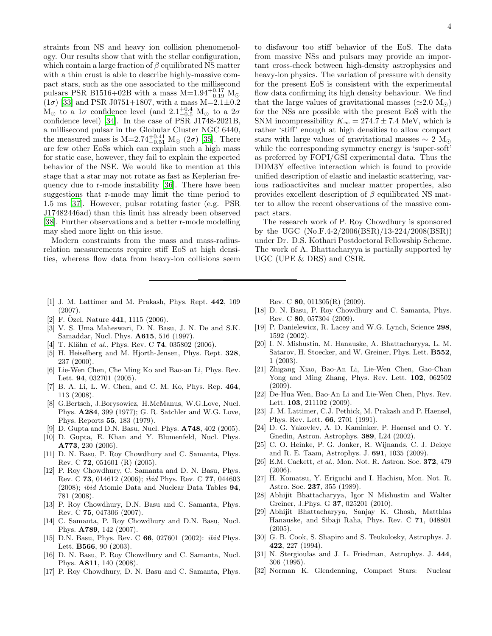straints from NS and heavy ion collision phenomenology. Our results show that with the stellar configuration, which contain a large fraction of  $\beta$  equilibrated NS matter with a thin crust is able to describe highly-massive compact stars, such as the one associated to the millisecond pulsars PSR B1516+02B with a mass M=1.94 $^{+0.17}_{-0.19}$  M<sub> $\odot$ </sub>  $(1\sigma)$  [\[33\]](#page-4-0) and PSR J0751+1807, with a mass M=2.1 $\pm$ 0.2  $\rm M_{\odot}$  to a 1 $\sigma$  confidence level (and 2.1<sup>+0.4</sup>  $\rm M_{\odot}$  to a 2 $\sigma$ confidence level) [\[34](#page-4-1)]. In the case of PSR J1748-2021B, a millisecond pulsar in the Globular Cluster NGC 6440, the measured mass is  $M=2.74^{+0.41}_{-0.51} M_{\odot}$  (2 $\sigma$ ) [\[35\]](#page-4-2). There are few other EoSs which can explain such a high mass for static case, however, they fail to explain the expected behavior of the NSE. We would like to mention at this stage that a star may not rotate as fast as Keplerian frequency due to r-mode instability [\[36\]](#page-4-3). There have been suggestions that r-mode may limit the time period to 1.5 ms [\[37\]](#page-4-4). However, pulsar rotating faster (e.g. PSR J17482446ad) than this limit has already been observed [\[38\]](#page-4-5). Further observations and a better r-mode modelling may shed more light on this issue.

Modern constraints from the mass and mass-radiusrelation measurements require stiff EoS at high densities, whereas flow data from heavy-ion collisions seem

- <span id="page-3-0"></span>[1] J. M. Lattimer and M. Prakash, Phys. Rept. 442, 109 (2007).
- <span id="page-3-1"></span>[2] F. Ozel, Nature  $441$ , 1115 (2006).
- <span id="page-3-2"></span>[3] V. S. Uma Maheswari, D. N. Basu, J. N. De and S.K. Samaddar, Nucl. Phys. A615, 516 (1997).
- <span id="page-3-3"></span>[4] T. Klähn et al., Phys. Rev. C 74, 035802 (2006).
- <span id="page-3-4"></span>[5] H. Heiselberg and M. Hjorth-Jensen, Phys. Rept. 328, 237 (2000).
- <span id="page-3-5"></span>[6] Lie-Wen Chen, Che Ming Ko and Bao-an Li, Phys. Rev. Lett. 94, 032701 (2005).
- <span id="page-3-6"></span>[7] B. A. Li, L. W. Chen, and C. M. Ko, Phys. Rep. 464, 113 (2008).
- <span id="page-3-7"></span>[8] G.Bertsch, J.Borysowicz, H.McManus, W.G.Love, Nucl. Phys. A284, 399 (1977); G. R. Satchler and W.G. Love, Phys. Reports 55, 183 (1979).
- <span id="page-3-8"></span>[9] D. Gupta and D.N. Basu, Nucl. Phys.  $A748$ , 402 (2005).
- <span id="page-3-9"></span>[10] D. Gupta, E. Khan and Y. Blumenfeld, Nucl. Phys. A773, 230 (2006).
- <span id="page-3-10"></span>[11] D. N. Basu, P. Roy Chowdhury and C. Samanta, Phys. Rev. C 72, 051601 (R) (2005).
- [12] P. Roy Chowdhury, C. Samanta and D. N. Basu, Phys. Rev. C 73, 014612 (2006); ibid Phys. Rev. C 77, 044603 (2008); ibid Atomic Data and Nuclear Data Tables 94, 781 (2008).
- [13] P. Roy Chowdhury, D.N. Basu and C. Samanta, Phys. Rev. C 75, 047306 (2007).
- [14] C. Samanta, P. Roy Chowdhury and D.N. Basu, Nucl. Phys. A789, 142 (2007).
- <span id="page-3-11"></span>[15] D.N. Basu, Phys. Rev. C 66, 027601 (2002): *ibid* Phys. Lett. B566, 90 (2003).
- <span id="page-3-12"></span>[16] D. N. Basu, P. Roy Chowdhury and C. Samanta, Nucl. Phys. A811, 140 (2008).
- <span id="page-3-15"></span>[17] P. Roy Chowdhury, D. N. Basu and C. Samanta, Phys.

to disfavour too stiff behavior of the EoS. The data from massive NSs and pulsars may provide an important cross-check between high-density astrophysics and heavy-ion physics. The variation of pressure with density for the present EoS is consistent with the experimental flow data confirming its high density behaviour. We find that the large values of gravitational masses ( $\simeq 2.0 \text{ M}_{\odot}$ ) for the NSs are possible with the present EoS with the SNM incompressibility  $K_{\infty} = 274.7 \pm 7.4$  MeV, which is rather 'stiff' enough at high densities to allow compact stars with large values of gravitational masses  $\sim 2 \text{ M}_{\odot}$ while the corresponding symmetry energy is 'super-soft' as preferred by FOPI/GSI experimental data. Thus the DDM3Y effective interaction which is found to provide unified description of elastic and inelastic scattering, various radioactivites and nuclear matter properties, also provides excellent description of  $\beta$  equilibrated NS matter to allow the recent observations of the massive compact stars.

The research work of P. Roy Chowdhury is sponsored by the UGC (No.F.4-2/2006(BSR)/13-224/2008(BSR)) under Dr. D.S. Kothari Postdoctoral Fellowship Scheme. The work of A. Bhattacharyya is partially supported by UGC (UPE & DRS) and CSIR.

Rev. C 80, 011305(R) (2009).

- <span id="page-3-13"></span>[18] D. N. Basu, P. Roy Chowdhury and C. Samanta, Phys. Rev. C 80, 057304 (2009).
- <span id="page-3-14"></span>[19] P. Danielewicz, R. Lacey and W.G. Lynch, Science 298, 1592 (2002).
- <span id="page-3-16"></span>[20] I. N. Mishustin, M. Hanauske, A. Bhattacharyya, L. M. Satarov, H. Stoecker, and W. Greiner, Phys. Lett. B552, 1 (2003).
- <span id="page-3-17"></span>[21] Zhigang Xiao, Bao-An Li, Lie-Wen Chen, Gao-Chan Yong and Ming Zhang, Phys. Rev. Lett. 102, 062502 (2009).
- <span id="page-3-18"></span>[22] De-Hua Wen, Bao-An Li and Lie-Wen Chen, Phys. Rev. Lett. 103, 211102 (2009).
- <span id="page-3-19"></span>[23] J. M. Lattimer, C.J. Pethick, M. Prakash and P. Haensel, Phys. Rev. Lett. 66, 2701 (1991).
- <span id="page-3-20"></span>[24] D. G. Yakovlev, A. D. Kaminker, P. Haensel and O. Y. Gnedin, Astron. Astrophys. 389, L24 (2002).
- <span id="page-3-21"></span>[25] C. O. Heinke, P. G. Jonker, R. Wijnands, C. J. Deloye and R. E. Taam, Astrophys. J. 691, 1035 (2009).
- <span id="page-3-22"></span>[26] E.M. Cackett, et al., Mon. Not. R. Astron. Soc. 372, 479 (2006).
- <span id="page-3-23"></span>[27] H. Komatsu, Y. Eriguchi and I. Hachisu, Mon. Not. R. Astro. Soc. 237, 355 (1989).
- [28] Abhijit Bhattacharyya, Igor N Mishustin and Walter Greiner, J.Phys. G 37, 025201 (2010).
- <span id="page-3-24"></span>[29] Abhijit Bhattacharyya, Sanjay K. Ghosh, Matthias Hanauske, and Sibaji Raha, Phys. Rev. C 71, 048801 (2005).
- <span id="page-3-25"></span>[30] G. B. Cook, S. Shapiro and S. Teukolosky, Astrophys. J. 422, 227 (1994).
- <span id="page-3-26"></span>[31] N. Stergioulas and J. L. Friedman, Astrophys. J. 444, 306 (1995).
- <span id="page-3-27"></span>[32] Norman K. Glendenning, Compact Stars: Nuclear